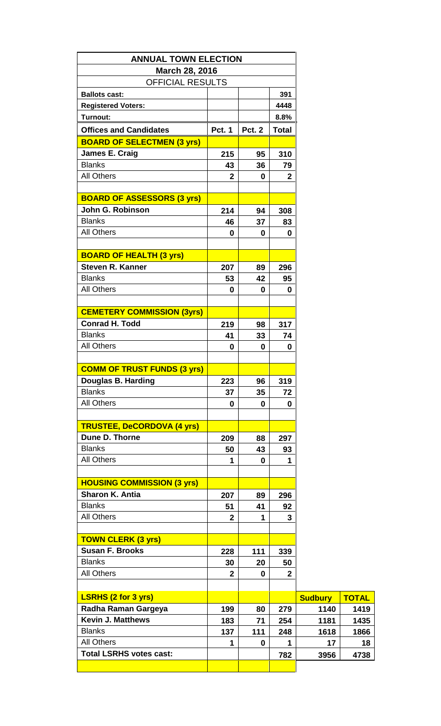| <b>ANNUAL TOWN ELECTION</b>        |                |               |                |  |
|------------------------------------|----------------|---------------|----------------|--|
| March 28, 2016                     |                |               |                |  |
| <b>OFFICIAL RESULTS</b>            |                |               |                |  |
| <b>Ballots cast:</b>               |                |               | 391            |  |
| <b>Registered Voters:</b>          |                |               | 4448           |  |
| Turnout:                           |                |               | 8.8%           |  |
|                                    |                |               |                |  |
| <b>Offices and Candidates</b>      | <b>Pct. 1</b>  | <b>Pct. 2</b> | <b>Total</b>   |  |
| <b>BOARD OF SELECTMEN (3 yrs)</b>  |                |               |                |  |
| James E. Craig                     | 215            | 95            | 310            |  |
| <b>Blanks</b>                      | 43             | 36            | 79             |  |
| <b>All Others</b>                  | $\mathbf{2}$   | 0             | $\mathbf{2}$   |  |
|                                    |                |               |                |  |
| <b>BOARD OF ASSESSORS (3 yrs)</b>  |                |               |                |  |
| John G. Robinson                   | 214            | 94            | 308            |  |
| <b>Blanks</b>                      | 46             | 37            | 83             |  |
| <b>All Others</b>                  | 0              | 0             | 0              |  |
|                                    |                |               |                |  |
| <b>BOARD OF HEALTH (3 yrs)</b>     |                |               |                |  |
| <b>Steven R. Kanner</b>            | 207            | 89            | 296            |  |
| <b>Blanks</b>                      | 53             | 42            | 95             |  |
| <b>All Others</b>                  | 0              | 0             | 0              |  |
|                                    |                |               |                |  |
| <b>CEMETERY COMMISSION (3yrs)</b>  |                |               |                |  |
| <b>Conrad H. Todd</b>              | 219            | 98            | 317            |  |
| <b>Blanks</b>                      | 41             | 33            | 74             |  |
| <b>All Others</b>                  | 0              | 0             | 0              |  |
|                                    |                |               |                |  |
| <b>COMM OF TRUST FUNDS (3 yrs)</b> |                |               |                |  |
| Douglas B. Harding                 | 223            | 96            | 319            |  |
| <b>Blanks</b>                      | 37             | 35            | 72             |  |
| <b>All Others</b>                  | 0              | 0             | 0              |  |
|                                    |                |               |                |  |
| <b>TRUSTEE, DeCORDOVA (4 yrs)</b>  |                |               |                |  |
| Dune D. Thorne                     |                |               |                |  |
|                                    | 209            | 88            | 297            |  |
| <b>Blanks</b>                      | 50             | 43            | 93             |  |
| <b>All Others</b>                  | 1              | 0             | 1              |  |
|                                    |                |               |                |  |
| <b>HOUSING COMMISSION (3 yrs)</b>  |                |               |                |  |
| <b>Sharon K. Antia</b>             | 207            | 89            | 296            |  |
| <b>Blanks</b>                      | 51             | 41            | 92             |  |
| <b>All Others</b>                  | $\mathbf{2}$   | 1             | 3              |  |
|                                    |                |               |                |  |
| <b>TOWN CLERK (3 yrs)</b>          |                |               |                |  |
| <b>Susan F. Brooks</b>             | 228            | 111           | 339            |  |
| <b>Blanks</b>                      | 30             | 20            | 50             |  |
| <b>All Others</b>                  | $\overline{2}$ | 0             | $\overline{2}$ |  |
|                                    |                |               |                |  |
| <b>LSRHS (2 for 3 yrs)</b>         |                |               |                |  |
| Radha Raman Gargeya                | 199            | 80            | 279            |  |
| <b>Kevin J. Matthews</b>           | 183            | 71            | 254            |  |
| <b>Blanks</b>                      | 137            | 111           | 248            |  |
| <b>All Others</b>                  | 1              | 0             | 1              |  |
| <b>Total LSRHS votes cast:</b>     |                |               | 782            |  |
|                                    |                |               |                |  |
|                                    |                |               |                |  |